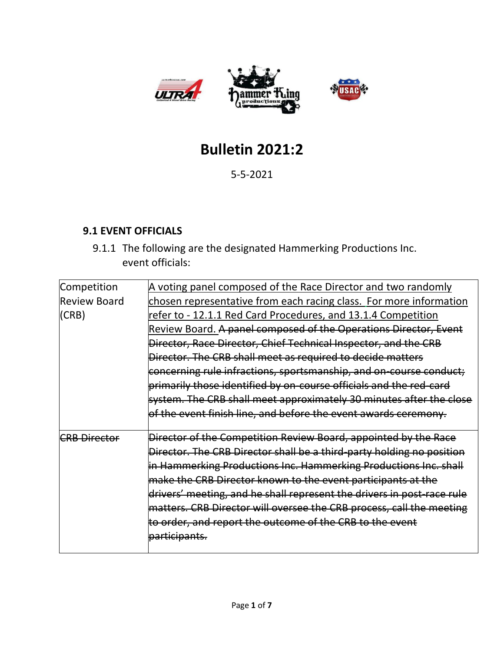

# **Bulletin 2021:2**

5-5-2021

### **9.1 EVENT OFFICIALS**

9.1.1 The following are the designated Hammerking Productions Inc. event officials:

| Competition         | A voting panel composed of the Race Director and two randomly          |
|---------------------|------------------------------------------------------------------------|
| <b>Review Board</b> | chosen representative from each racing class. For more information     |
| (CRB)               | refer to - 12.1.1 Red Card Procedures, and 13.1.4 Competition          |
|                     | Review Board. A panel composed of the Operations Director, Event       |
|                     | Director, Race Director, Chief Technical Inspector, and the CRB        |
|                     | Director. The CRB shall meet as required to decide matters             |
|                     | concerning rule infractions, sportsmanship, and on-course conduct;     |
|                     | primarily those identified by on-course officials and the red-card     |
|                     | system. The CRB shall meet approximately 30 minutes after the close    |
|                     | of the event finish line, and before the event awards ceremony.        |
| <b>CRB Director</b> | Director of the Competition Review Board, appointed by the Race        |
|                     | Director. The CRB Director shall be a third-party holding no position  |
|                     | in Hammerking Productions Inc. Hammerking Productions Inc. shall       |
|                     | make the CRB Director known to the event participants at the           |
|                     | drivers' meeting, and he shall represent the drivers in post-race rule |
|                     | matters. CRB Director will oversee the CRB process, call the meeting   |
|                     | to order, and report the outcome of the CRB to the event               |
|                     | participants.                                                          |
|                     |                                                                        |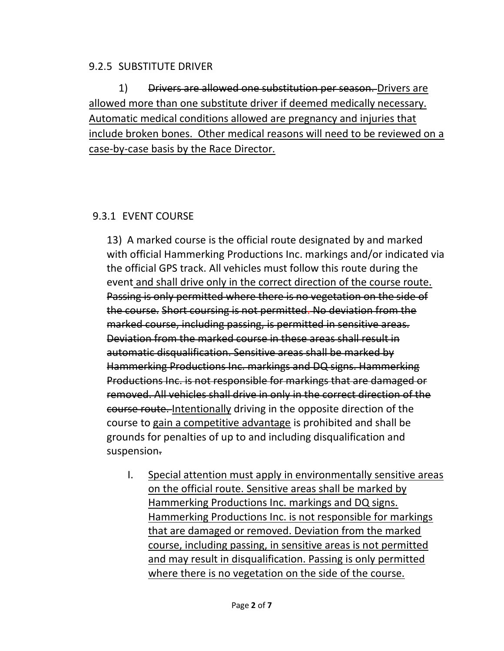#### 9.2.5 SUBSTITUTE DRIVER

1) Drivers are allowed one substitution per season. Drivers are allowed more than one substitute driver if deemed medically necessary. Automatic medical conditions allowed are pregnancy and injuries that include broken bones. Other medical reasons will need to be reviewed on a case-by-case basis by the Race Director.

### 9.3.1 EVENT COURSE

13) A marked course is the official route designated by and marked with official Hammerking Productions Inc. markings and/or indicated via the official GPS track. All vehicles must follow this route during the event and shall drive only in the correct direction of the course route. Passing is only permitted where there is no vegetation on the side of the course. Short coursing is not permitted. No deviation from the marked course, including passing, is permitted in sensitive areas. Deviation from the marked course in these areas shall result in automatic disqualification. Sensitive areas shall be marked by Hammerking Productions Inc. markings and DQ signs. Hammerking Productions Inc. is not responsible for markings that are damaged or removed. All vehicles shall drive in only in the correct direction of the course route. Intentionally driving in the opposite direction of the course to gain a competitive advantage is prohibited and shall be grounds for penalties of up to and including disqualification and suspension.

I. Special attention must apply in environmentally sensitive areas on the official route. Sensitive areas shall be marked by Hammerking Productions Inc. markings and DQ signs. Hammerking Productions Inc. is not responsible for markings that are damaged or removed. Deviation from the marked course, including passing, in sensitive areas is not permitted and may result in disqualification. Passing is only permitted where there is no vegetation on the side of the course.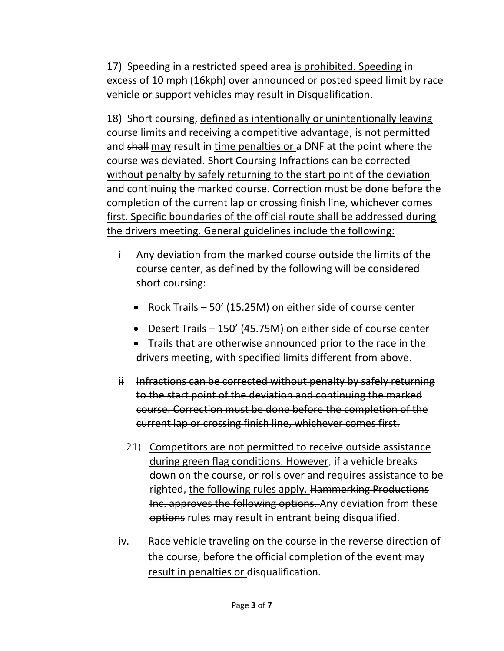17) Speeding in a restricted speed area is prohibited. Speeding in excess of 10 mph (16kph) over announced or posted speed limit by race vehicle or support vehicles may result in Disqualification.

18) Short coursing, defined as intentionally or unintentionally leaving course limits and receiving a competitive advantage, is not permitted and shall may result in time penalties or a DNF at the point where the course was deviated. Short Coursing Infractions can be corrected without penalty by safely returning to the start point of the deviation and continuing the marked course. Correction must be done before the completion of the current lap or crossing finish line, whichever comes first. Specific boundaries of the official route shall be addressed during the drivers meeting. General guidelines include the following:

- i Any deviation from the marked course outside the limits of the course center, as defined by the following will be considered short coursing:
	- Rock Trails 50' (15.25M) on either side of course center
	- Desert Trails 150' (45.75M) on either side of course center
	- Trails that are otherwise announced prior to the race in the drivers meeting, with specified limits different from above.
- $ii$  Infractions can be corrected without penalty by safely returning to the start point of the deviation and continuing the marked course. Correction must be done before the completion of the current lap or crossing finish line, whichever comes first.
	- 21) Competitors are not permitted to receive outside assistance during green flag conditions. However, if a vehicle breaks down on the course, or rolls over and requires assistance to be righted, the following rules apply. Hammerking Productions Inc. approves the following options. Any deviation from these options rules may result in entrant being disqualified.
- iv. Race vehicle traveling on the course in the reverse direction of the course, before the official completion of the event may result in penalties or disqualification.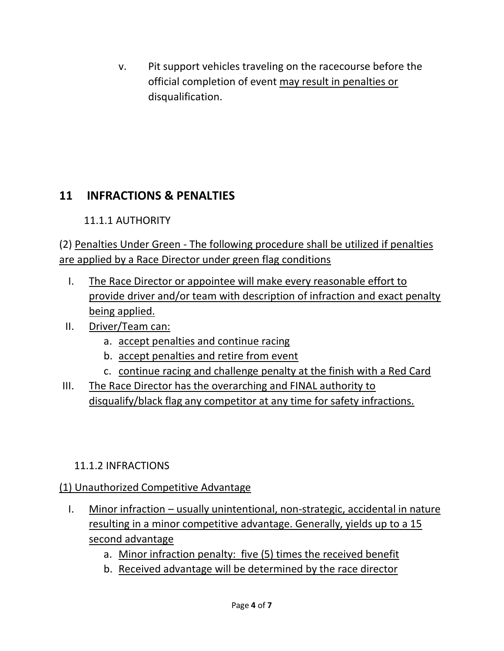v. Pit support vehicles traveling on the racecourse before the official completion of event may result in penalties or disqualification.

# **11 INFRACTIONS & PENALTIES**

## 11.1.1 AUTHORITY

(2) Penalties Under Green - The following procedure shall be utilized if penalties are applied by a Race Director under green flag conditions

- I. The Race Director or appointee will make every reasonable effort to provide driver and/or team with description of infraction and exact penalty being applied.
- II. Driver/Team can:
	- a. accept penalties and continue racing
	- b. accept penalties and retire from event
	- c. continue racing and challenge penalty at the finish with a Red Card
- III. The Race Director has the overarching and FINAL authority to disqualify/black flag any competitor at any time for safety infractions.

### 11.1.2 INFRACTIONS

# (1) Unauthorized Competitive Advantage

- I. Minor infraction usually unintentional, non-strategic, accidental in nature resulting in a minor competitive advantage. Generally, yields up to a 15 second advantage
	- a. Minor infraction penalty: five (5) times the received benefit
	- b. Received advantage will be determined by the race director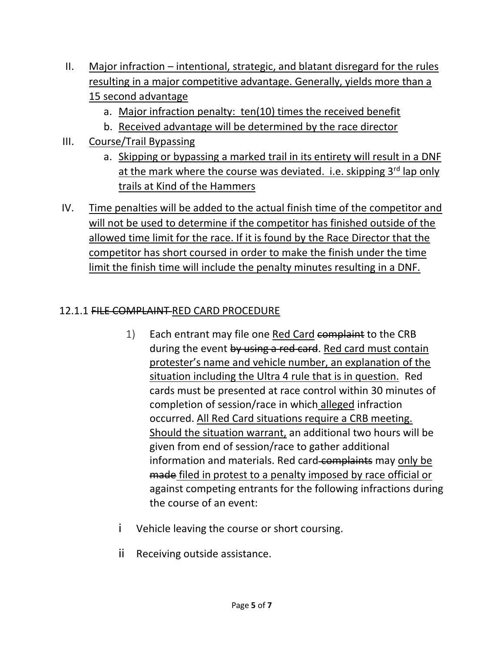- II. Major infraction intentional, strategic, and blatant disregard for the rules resulting in a major competitive advantage. Generally, yields more than a 15 second advantage
	- a. Major infraction penalty: ten(10) times the received benefit
	- b. Received advantage will be determined by the race director
- III. Course/Trail Bypassing
	- a. Skipping or bypassing a marked trail in its entirety will result in a DNF at the mark where the course was deviated. i.e. skipping 3rd lap only trails at Kind of the Hammers
- IV. Time penalties will be added to the actual finish time of the competitor and will not be used to determine if the competitor has finished outside of the allowed time limit for the race. If it is found by the Race Director that the competitor has short coursed in order to make the finish under the time limit the finish time will include the penalty minutes resulting in a DNF.

### 12.1.1 FILE COMPLAINT RED CARD PROCEDURE

- 1) Each entrant may file one Red Card complaint to the CRB during the event by using a red card. Red card must contain protester's name and vehicle number, an explanation of the situation including the Ultra 4 rule that is in question. Red cards must be presented at race control within 30 minutes of completion of session/race in which alleged infraction occurred. All Red Card situations require a CRB meeting. Should the situation warrant, an additional two hours will be given from end of session/race to gather additional information and materials. Red card-complaints may only be made filed in protest to a penalty imposed by race official or against competing entrants for the following infractions during the course of an event:
- i Vehicle leaving the course or short coursing.
- ii Receiving outside assistance.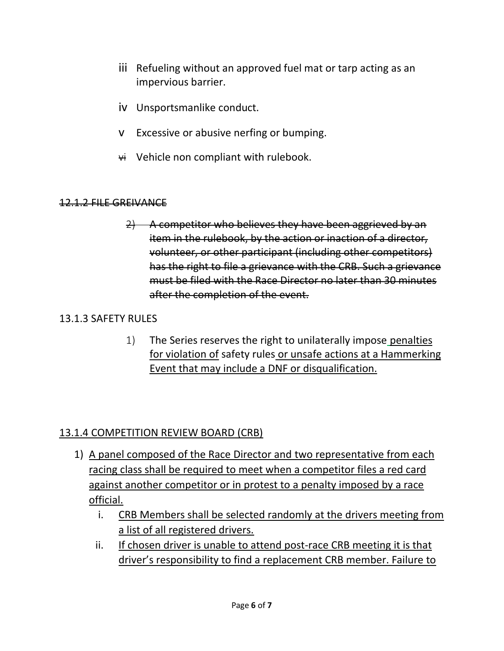- iii Refueling without an approved fuel mat or tarp acting as an impervious barrier.
- iv Unsportsmanlike conduct.
- v Excessive or abusive nerfing or bumping.
- $\forall$ i Vehicle non compliant with rulebook.

#### 12.1.2 FILE GREIVANCE

 $2)$  A competitor who believes they have been aggrieved by an item in the rulebook, by the action or inaction of a director, volunteer, or other participant (including other competitors) has the right to file a grievance with the CRB. Such a grievance must be filed with the Race Director no later than 30 minutes after the completion of the event.

#### 13.1.3 SAFETY RULES

1) The Series reserves the right to unilaterally impose penalties for violation of safety rules or unsafe actions at a Hammerking Event that may include a DNF or disqualification.

#### 13.1.4 COMPETITION REVIEW BOARD (CRB)

- 1) A panel composed of the Race Director and two representative from each racing class shall be required to meet when a competitor files a red card against another competitor or in protest to a penalty imposed by a race official.
	- i. CRB Members shall be selected randomly at the drivers meeting from a list of all registered drivers.
	- ii. If chosen driver is unable to attend post-race CRB meeting it is that driver's responsibility to find a replacement CRB member. Failure to